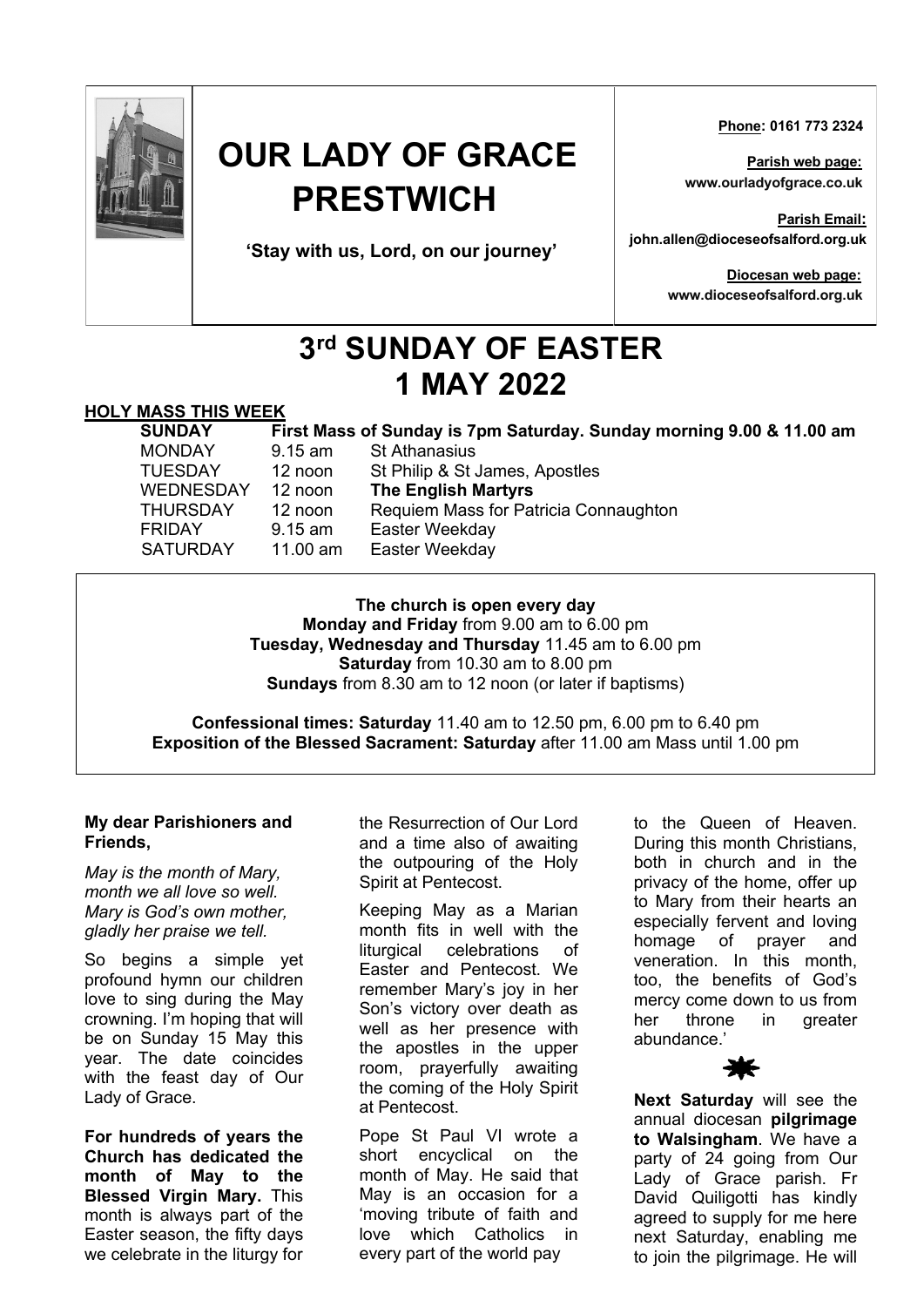

# **OUR LADY OF GRACE PRESTWICH**

**'Stay with us, Lord, on our journey'**

 **Phone: 0161 773 2324**

**Parish web page: www.ourladyofgrace.co.uk**

**Parish Email: john.allen@dioceseofsalford.org.uk**

> **Diocesan web page: www.dioceseofsalford.org.uk**

# **3rd SUNDAY OF EASTER 1 MAY 2022**

### **HOLY MASS THIS WEEK**

| <b>SUNDAY</b>    |                   | First Mass of Sunday is 7pm Saturday. Sunday morning 9.00 & 11.00 am |
|------------------|-------------------|----------------------------------------------------------------------|
| <b>MONDAY</b>    | $9.15$ am         | <b>St Athanasius</b>                                                 |
| <b>TUESDAY</b>   | 12 noon           | St Philip & St James, Apostles                                       |
| <b>WEDNESDAY</b> | 12 noon           | <b>The English Martyrs</b>                                           |
| THURSDAY         | 12 noon           | Requiem Mass for Patricia Connaughton                                |
| <b>FRIDAY</b>    | $9.15$ am         | Easter Weekday                                                       |
| <b>SATURDAY</b>  | 11.00 $\text{am}$ | Easter Weekday                                                       |

**The church is open every day Monday and Friday** from 9.00 am to 6.00 pm **Tuesday, Wednesday and Thursday** 11.45 am to 6.00 pm **Saturday** from 10.30 am to 8.00 pm **Sundays** from 8.30 am to 12 noon (or later if baptisms)

**Confessional times: Saturday** 11.40 am to 12.50 pm, 6.00 pm to 6.40 pm **Exposition of the Blessed Sacrament: Saturday** after 11.00 am Mass until 1.00 pm

#### **My dear Parishioners and Friends,**

*May is the month of Mary, month we all love so well. Mary is God's own mother, gladly her praise we tell.*

So begins a simple yet profound hymn our children love to sing during the May crowning. I'm hoping that will be on Sunday 15 May this year. The date coincides with the feast day of Our Lady of Grace.

**For hundreds of years the Church has dedicated the month of May to the Blessed Virgin Mary.** This month is always part of the Easter season, the fifty days we celebrate in the liturgy for

the Resurrection of Our Lord and a time also of awaiting the outpouring of the Holy Spirit at Pentecost.

Keeping May as a Marian month fits in well with the liturgical celebrations of Easter and Pentecost. We remember Mary's joy in her Son's victory over death as well as her presence with the apostles in the upper room, prayerfully awaiting the coming of the Holy Spirit at Pentecost.

Pope St Paul VI wrote a short encyclical on the month of May. He said that May is an occasion for a 'moving tribute of faith and love which Catholics in every part of the world pay

to the Queen of Heaven. During this month Christians, both in church and in the privacy of the home, offer up to Mary from their hearts an especially fervent and loving homage of prayer and veneration. In this month, too, the benefits of God's mercy come down to us from her throne in greater abundance.'

**Next Saturday** will see the annual diocesan **pilgrimage to Walsingham**. We have a party of 24 going from Our Lady of Grace parish. Fr David Quiligotti has kindly agreed to supply for me here next Saturday, enabling me to join the pilgrimage. He will